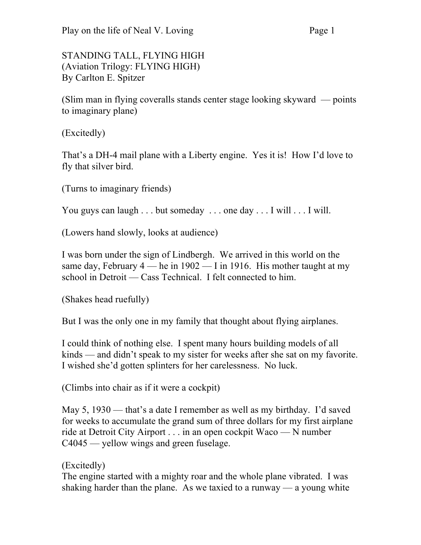## STANDING TALL, FLYING HIGH (Aviation Trilogy: FLYING HIGH) By Carlton E. Spitzer

(Slim man in flying coveralls stands center stage looking skyward — points to imaginary plane)

(Excitedly)

That's a DH-4 mail plane with a Liberty engine. Yes it is! How I'd love to fly that silver bird.

(Turns to imaginary friends)

You guys can laugh . . . but someday . . . one day . . . I will . . . I will.

(Lowers hand slowly, looks at audience)

I was born under the sign of Lindbergh. We arrived in this world on the same day, February  $4$  — he in  $1902$  — I in 1916. His mother taught at my school in Detroit — Cass Technical. I felt connected to him.

(Shakes head ruefully)

But I was the only one in my family that thought about flying airplanes.

I could think of nothing else. I spent many hours building models of all kinds — and didn't speak to my sister for weeks after she sat on my favorite. I wished she'd gotten splinters for her carelessness. No luck.

(Climbs into chair as if it were a cockpit)

May 5, 1930 — that's a date I remember as well as my birthday. I'd saved for weeks to accumulate the grand sum of three dollars for my first airplane ride at Detroit City Airport . . . in an open cockpit Waco — N number C4045 — yellow wings and green fuselage.

## (Excitedly)

The engine started with a mighty roar and the whole plane vibrated. I was shaking harder than the plane. As we taxied to a runway — a young white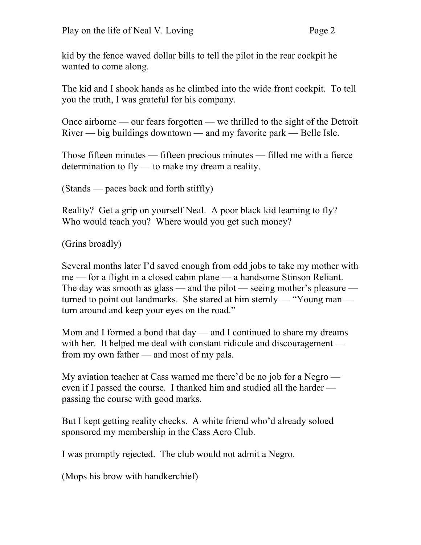kid by the fence waved dollar bills to tell the pilot in the rear cockpit he wanted to come along.

The kid and I shook hands as he climbed into the wide front cockpit. To tell you the truth, I was grateful for his company.

Once airborne — our fears forgotten — we thrilled to the sight of the Detroit River — big buildings downtown — and my favorite park — Belle Isle.

Those fifteen minutes — fifteen precious minutes — filled me with a fierce determination to fly — to make my dream a reality.

(Stands — paces back and forth stiffly)

Reality? Get a grip on yourself Neal. A poor black kid learning to fly? Who would teach you? Where would you get such money?

(Grins broadly)

Several months later I'd saved enough from odd jobs to take my mother with me — for a flight in a closed cabin plane — a handsome Stinson Reliant. The day was smooth as glass — and the pilot — seeing mother's pleasure turned to point out landmarks. She stared at him sternly — "Young man turn around and keep your eyes on the road."

Mom and I formed a bond that day — and I continued to share my dreams with her. It helped me deal with constant ridicule and discouragement from my own father — and most of my pals.

My aviation teacher at Cass warned me there'd be no job for a Negro even if I passed the course. I thanked him and studied all the harder passing the course with good marks.

But I kept getting reality checks. A white friend who'd already soloed sponsored my membership in the Cass Aero Club.

I was promptly rejected. The club would not admit a Negro.

(Mops his brow with handkerchief)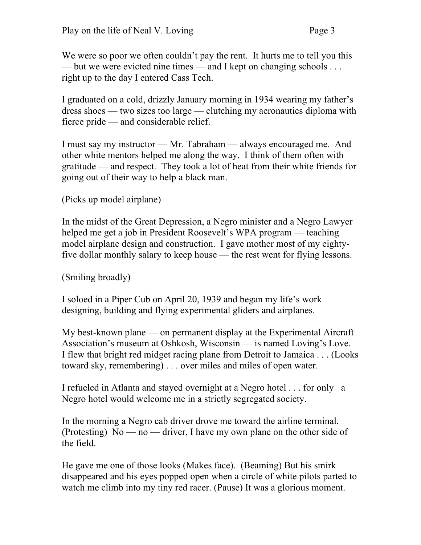We were so poor we often couldn't pay the rent. It hurts me to tell you this — but we were evicted nine times — and I kept on changing schools ... right up to the day I entered Cass Tech.

I graduated on a cold, drizzly January morning in 1934 wearing my father's dress shoes — two sizes too large — clutching my aeronautics diploma with fierce pride — and considerable relief.

I must say my instructor — Mr. Tabraham — always encouraged me. And other white mentors helped me along the way. I think of them often with gratitude — and respect. They took a lot of heat from their white friends for going out of their way to help a black man.

(Picks up model airplane)

In the midst of the Great Depression, a Negro minister and a Negro Lawyer helped me get a job in President Roosevelt's WPA program — teaching model airplane design and construction. I gave mother most of my eightyfive dollar monthly salary to keep house — the rest went for flying lessons.

(Smiling broadly)

I soloed in a Piper Cub on April 20, 1939 and began my life's work designing, building and flying experimental gliders and airplanes.

My best-known plane — on permanent display at the Experimental Aircraft Association's museum at Oshkosh, Wisconsin — is named Loving's Love. I flew that bright red midget racing plane from Detroit to Jamaica . . . (Looks toward sky, remembering) . . . over miles and miles of open water.

I refueled in Atlanta and stayed overnight at a Negro hotel . . . for only a Negro hotel would welcome me in a strictly segregated society.

In the morning a Negro cab driver drove me toward the airline terminal. (Protesting)  $No - no - driver$ , I have my own plane on the other side of the field.

He gave me one of those looks (Makes face). (Beaming) But his smirk disappeared and his eyes popped open when a circle of white pilots parted to watch me climb into my tiny red racer. (Pause) It was a glorious moment.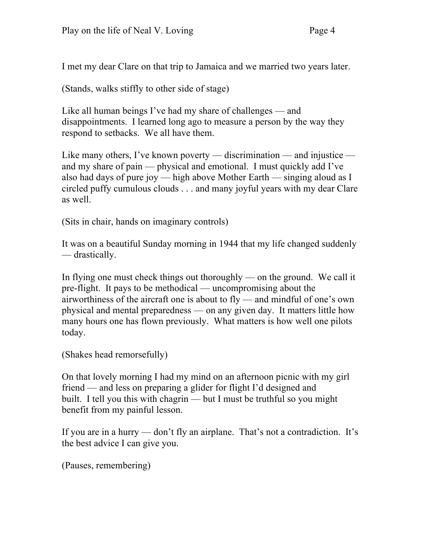I met my dear Clare on that trip to Jamaica and we married two years later.

(Stands, walks stiffly to other side of stage)

Like all human beings I've had my share of challenges — and disappointments. I learned long ago to measure a person by the way they respond to setbacks. We all have them.

Like many others, I've known poverty — discrimination — and injustice and my share of pain — physical and emotional. I must quickly add I've also had days of pure joy — high above Mother Earth — singing aloud as I circled puffy cumulous clouds . . . and many joyful years with my dear Clare as well.

(Sits in chair, hands on imaginary controls)

It was on a beautiful Sunday morning in 1944 that my life changed suddenly — drastically.

In flying one must check things out thoroughly — on the ground. We call it pre-flight. It pays to be methodical — uncompromising about the airworthiness of the aircraft one is about to fly — and mindful of one's own physical and mental preparedness — on any given day. It matters little how many hours one has flown previously. What matters is how well one pilots today.

(Shakes head remorsefully)

On that lovely morning I had my mind on an afternoon picnic with my girl friend — and less on preparing a glider for flight I'd designed and built. I tell you this with chagrin — but I must be truthful so you might benefit from my painful lesson.

If you are in a hurry — don't fly an airplane. That's not a contradiction. It's the best advice I can give you.

(Pauses, remembering)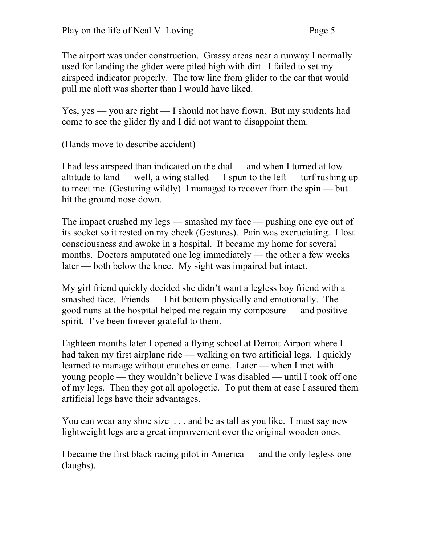The airport was under construction. Grassy areas near a runway I normally used for landing the glider were piled high with dirt. I failed to set my airspeed indicator properly. The tow line from glider to the car that would pull me aloft was shorter than I would have liked.

Yes, yes — you are right — I should not have flown. But my students had come to see the glider fly and I did not want to disappoint them.

(Hands move to describe accident)

I had less airspeed than indicated on the dial — and when I turned at low altitude to land — well, a wing stalled — I spun to the left — turf rushing up to meet me. (Gesturing wildly) I managed to recover from the spin — but hit the ground nose down.

The impact crushed my legs — smashed my face — pushing one eye out of its socket so it rested on my cheek (Gestures). Pain was excruciating. I lost consciousness and awoke in a hospital. It became my home for several months. Doctors amputated one leg immediately — the other a few weeks later — both below the knee. My sight was impaired but intact.

My girl friend quickly decided she didn't want a legless boy friend with a smashed face. Friends — I hit bottom physically and emotionally. The good nuns at the hospital helped me regain my composure — and positive spirit. I've been forever grateful to them.

Eighteen months later I opened a flying school at Detroit Airport where I had taken my first airplane ride — walking on two artificial legs. I quickly learned to manage without crutches or cane. Later — when I met with young people — they wouldn't believe I was disabled — until I took off one of my legs. Then they got all apologetic. To put them at ease I assured them artificial legs have their advantages.

You can wear any shoe size . . . and be as tall as you like. I must say new lightweight legs are a great improvement over the original wooden ones.

I became the first black racing pilot in America — and the only legless one (laughs).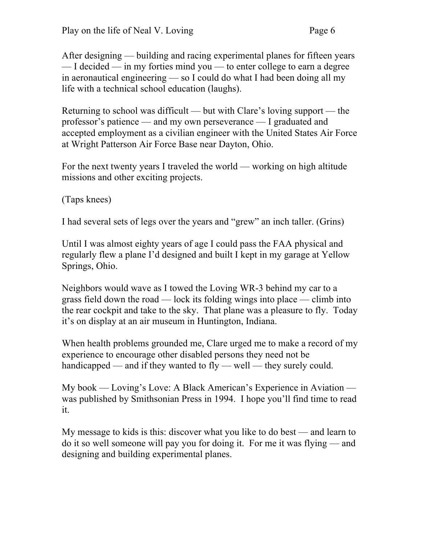After designing — building and racing experimental planes for fifteen years — I decided — in my forties mind you — to enter college to earn a degree in aeronautical engineering — so I could do what I had been doing all my life with a technical school education (laughs).

Returning to school was difficult — but with Clare's loving support — the professor's patience — and my own perseverance — I graduated and accepted employment as a civilian engineer with the United States Air Force at Wright Patterson Air Force Base near Dayton, Ohio.

For the next twenty years I traveled the world — working on high altitude missions and other exciting projects.

(Taps knees)

I had several sets of legs over the years and "grew" an inch taller. (Grins)

Until I was almost eighty years of age I could pass the FAA physical and regularly flew a plane I'd designed and built I kept in my garage at Yellow Springs, Ohio.

Neighbors would wave as I towed the Loving WR-3 behind my car to a grass field down the road — lock its folding wings into place — climb into the rear cockpit and take to the sky. That plane was a pleasure to fly. Today it's on display at an air museum in Huntington, Indiana.

When health problems grounded me, Clare urged me to make a record of my experience to encourage other disabled persons they need not be handicapped — and if they wanted to fly — well — they surely could.

My book — Loving's Love: A Black American's Experience in Aviation was published by Smithsonian Press in 1994. I hope you'll find time to read it.

My message to kids is this: discover what you like to do best — and learn to do it so well someone will pay you for doing it. For me it was flying — and designing and building experimental planes.